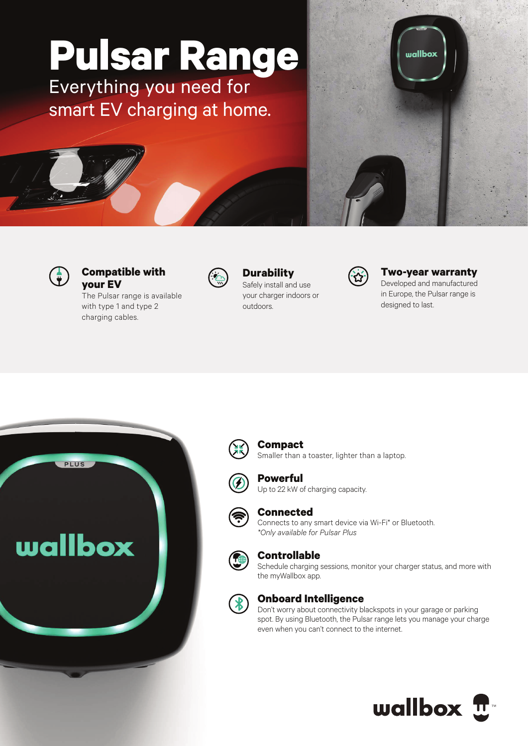# **Pulsar Range**

Everything you need for smart EV charging at home.





#### **Compatible with your EV**

The Pulsar range is available with type 1 and type 2 charging cables.



## **Durability**

Safely install and use your charger indoors or outdoors.



#### **Two-year warranty** Developed and manufactured

in Europe, the Pulsar range is designed to last.





## **Compact**

Smaller than a toaster, lighter than a laptop.



## **Powerful**

Up to 22 kW of charging capacity.



#### **Connected**

Connects to any smart device via Wi-Fi\* or Bluetooth. *\*Only available for Pulsar Plus*



#### **Controllable**

Schedule charging sessions, monitor your charger status, and more with the myWallbox app.



#### **Onboard Intelligence**

Don't worry about connectivity blackspots in your garage or parking spot. By using Bluetooth, the Pulsar range lets you manage your charge even when you can't connect to the internet.